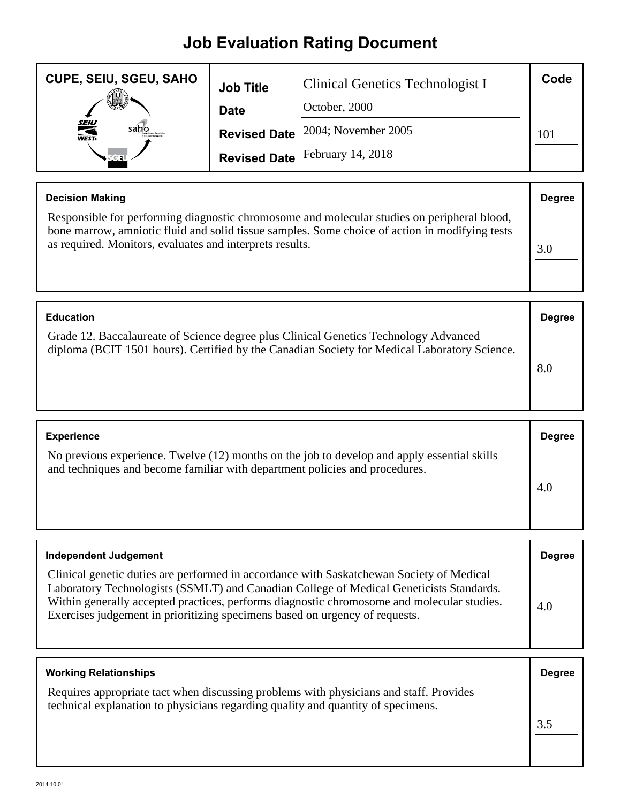## **Job Evaluation Rating Document**

| <b>CUPE, SEIU, SGEU, SAHO</b> | <b>Job Title</b> | Clinical Genetics Technologist I        | Code |
|-------------------------------|------------------|-----------------------------------------|------|
|                               | <b>Date</b>      | October, 2000                           |      |
| <b>SEIU</b><br>WEST-<br>saho  |                  | <b>Revised Date</b> 2004; November 2005 | 101  |
|                               |                  | Revised Date February 14, 2018          |      |

| <b>Decision Making</b>                                                                                                                                                                                                                                    | <b>Degree</b> |
|-----------------------------------------------------------------------------------------------------------------------------------------------------------------------------------------------------------------------------------------------------------|---------------|
| Responsible for performing diagnostic chromosome and molecular studies on peripheral blood,<br>bone marrow, amniotic fluid and solid tissue samples. Some choice of action in modifying tests<br>as required. Monitors, evaluates and interprets results. | 3.0           |

| <b>Education</b>                                                                                                                                                                     | <b>Degree</b> |
|--------------------------------------------------------------------------------------------------------------------------------------------------------------------------------------|---------------|
| Grade 12. Baccalaureate of Science degree plus Clinical Genetics Technology Advanced<br>diploma (BCIT 1501 hours). Certified by the Canadian Society for Medical Laboratory Science. |               |
|                                                                                                                                                                                      |               |

| <b>Experience</b>                                                                                                                                                          | <b>Degree</b> |
|----------------------------------------------------------------------------------------------------------------------------------------------------------------------------|---------------|
| No previous experience. Twelve (12) months on the job to develop and apply essential skills<br>and techniques and become familiar with department policies and procedures. |               |
|                                                                                                                                                                            | 4.0           |
|                                                                                                                                                                            |               |

| <b>Independent Judgement</b>                                                                                                                                                                                                                                                                                                                                     | <b>Degree</b> |
|------------------------------------------------------------------------------------------------------------------------------------------------------------------------------------------------------------------------------------------------------------------------------------------------------------------------------------------------------------------|---------------|
| Clinical genetic duties are performed in accordance with Saskatchewan Society of Medical<br>Laboratory Technologists (SSMLT) and Canadian College of Medical Geneticists Standards.<br>Within generally accepted practices, performs diagnostic chromosome and molecular studies.<br>Exercises judgement in prioritizing specimens based on urgency of requests. | 4.0           |

| <b>Working Relationships</b>                                                                                                                                               | <b>Degree</b> |
|----------------------------------------------------------------------------------------------------------------------------------------------------------------------------|---------------|
| Requires appropriate tact when discussing problems with physicians and staff. Provides<br>technical explanation to physicians regarding quality and quantity of specimens. |               |
|                                                                                                                                                                            |               |
|                                                                                                                                                                            |               |